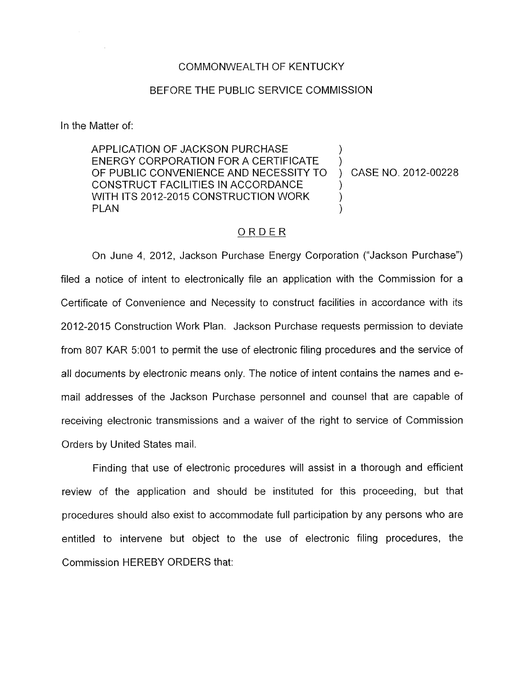## COMMONWEALTH OF KENTUCKY

## BEFORE THE PUBLIC SERVICE COMMISSION

In the Matter of:

APPLICATION OF JACKSON PURCHASE OF PUBLIC CONVENIENCE AND NECESSITY TO ) CASE NO. 2012-00228 CONSTRUCT FACILITIES IN ACCORDANCE WITH ITS 2012-2015 CONSTRUCTION WORK<br>PLAN PLAN ) ENERGY CORPORATION FOR A CERTIFICATE

## ORDER

On June 4, 2012, Jackson Purchase Energy Corporation ("Jackson Purchase") filed a notice of intent to electronically file an application with the Commission for a Certificate of Convenience and Necessity to construct facilities in accordance with its 2012-2015 Construction Work Plan. Jackson Purchase requests permission to deviate from 807 KAR 5:OOl to permit the use of electronic filing procedures and the service of all documents by electronic means only. The notice of intent contains the names and email addresses of the Jackson Purchase personnel and counsel that are capable of receiving electronic transmissions and a waiver of the right to service of Commission Orders by United States mail.

Finding that use of electronic procedures will assist in a thorough and efficient review of the application and should be instituted for this proceeding, but that procedures should also exist to accommodate full participation by any persons who are entitled to intervene but object to the use of electronic filing procedures, the Commission HEREBY ORDERS that: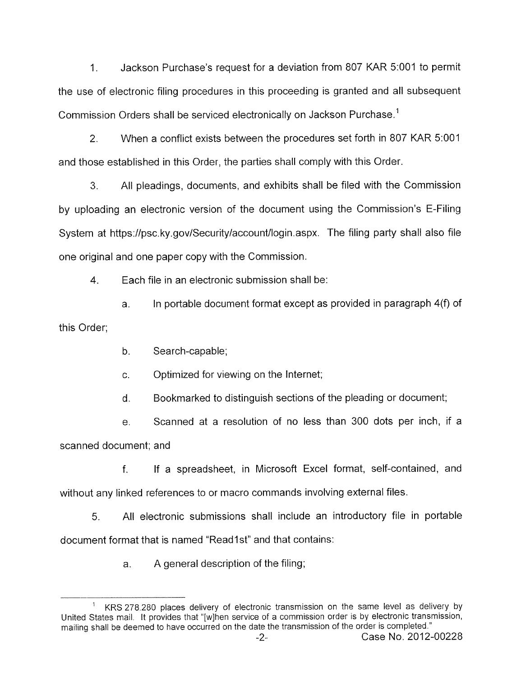1. Jackson Purchase's request for a deviation from 807 KAR 5:001 to permit the use of electronic filing procedures in this proceeding is granted and all subsequent Commission Orders shall be serviced electronically on Jackson Purchase.'

2. When a conflict exists between the procedures set forth in 807 KAR 5:OOl and those established in this Order, the parties shall comply with this Order.

**3.** All pleadings, documents, and exhibits shall be filed with the Commission by uploading an electronic version of the document using the Commission's E-Filing System at <https://psc.ky.gov/Security/account/login.aspx>. The filing party shall also file one original and one paper copy with the Commission.

**4.** Each file in an electronic submission shall be:

a. In portable document format except as provided in paragraph 4(f) of this Order;

b. Search-capable;

c. Optimized for viewing on the Internet;

d. Bookmarked to distinguish sections of the pleading or document;

e. Scanned at a resolution of no less than 300 dots per inch, if a scanned document; and

f. If a spreadsheet, in Microsoft Excel format, self-contained, and without any linked references to or macro commands involving external files.

5. All electronic submissions shall include an introductory file in portable document format that is named "Readlst" and that contains:

a. A general description of the filing;

KRS 278 280 places delivery of electronic transmission on the same level as delivery by United States mail. It provides that "[wlhen service of a commission order is by electronic transmission, mailing shall be deemed to have occurred on the date the transmission of the order is completed." **1**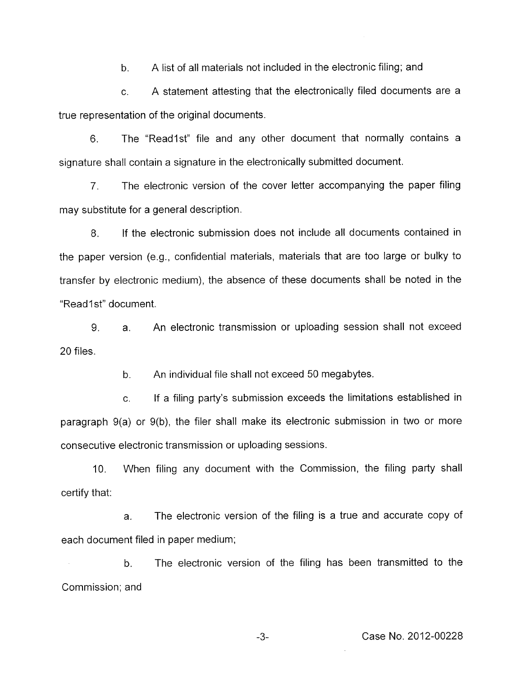b. A list of all materials not included in the electronic filing; and

c. A statement attesting that the electronically filed documents are a true representation of the original documents.

6. The "Readlst" file and any other document that normally contains a signature shall contain a signature in the electronically submitted document.

*7.* The electronic version of the cover letter accompanying the paper filing may substitute for a general description.

8. If the electronic submission does not include all documents contained in the paper version (e.g., confidential materials, materials that are too large or bulky to transfer by electronic medium), the absence of these documents shall be noted in the "Read1st" document.

9. 20 files. a. An electronic transmission or uploading session shall not exceed

> b. An individual file shall not exceed 50 megabytes.

c. If a filing party's submission exceeds the limitations established in paragraph 9(a) or 9(b), the filer shall make its electronic submission in two or more consecutive electronic transmission or uploading sessions.

10. When filing any document with the Commission, the filing party shall certify that:

a. The electronic version of the filing is a true and accurate copy of each document filed in paper medium;

b. The electronic version of the filing has been transmitted to the Commission; and

-3- Case **No.** 2012-00228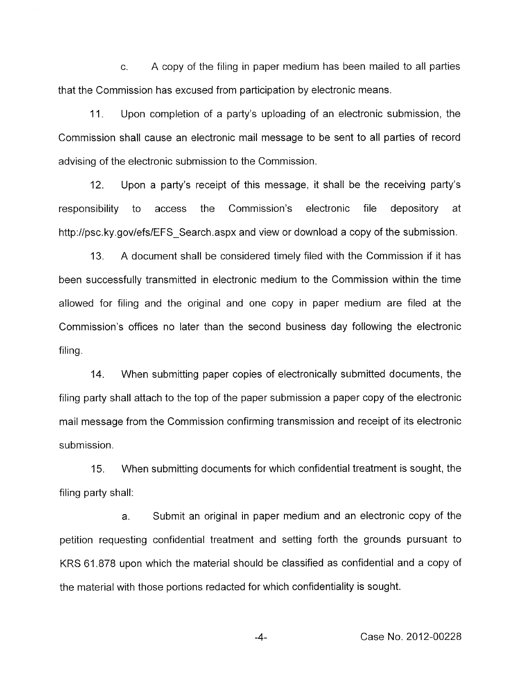c. A copy of the filing in paper medium has been mailed to all parties that the Commission has excused from participation by electronic means.

11. Upon completion of a party's uploading of an electronic submission, the Commission shall cause an electronic mail message to be sent to all parties of record advising of the electronic submission to the Commission.

12. Upon a party's receipt of this message, it shall be the receiving party's responsibility to access the Commission's electronic file depository at [http://psc.ky.gov/efs/EFS\\_Search.aspx](http://psc.ky.gov/efs/EFS_Search.aspx) and view or download a copy of the submission.

A document shall be considered timely filed with the Commission if it has been successfully transmitted in electronic medium to the Commission within the time allowed for filing and the original and one copy in paper medium are filed at the Commission's offices no later than the second business day following the electronic filing.  $13.$ 

14. When submitting paper copies of electronically submitted documents, the filing party shall attach to the top of the paper submission a paper copy of the electronic mail message from the Commission confirming transmission and receipt of its electronic submission.

15. filing party shall: When submitting documents for which confidential treatment is sought, the

a. Submit an original in paper medium and an electronic copy of the petition requesting confidential treatment and setting forth the grounds pursuant to KRS 61.878 upon which the material should be classified as confidential and a copy of the material with those portions redacted for which confidentiality is sought.

-4- Case No. 2012-00228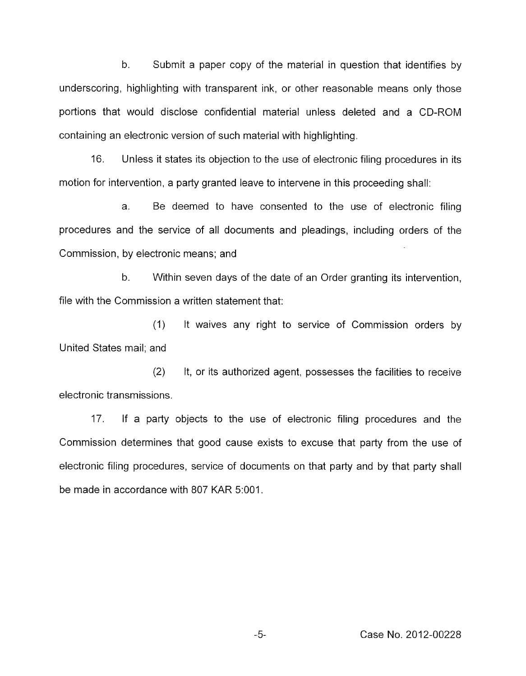b. Submit a paper copy of the material in question that identifies by underscoring, highlighting with transparent ink, or other reasonable means only those portions that would disclose confidential material unless deleted and a CD-ROM containing an electronic version of such material with highlighting.

16. Unless it states its objection to the use of electronic filing procedures in its motion for intervention, a party granted leave to intervene in this proceeding shall:

a. Be deemed to have consented to the use of electronic filing procedures and the service of all documents and pleadings, including orders of the Commission, by electronic means; and

b. Within seven days of the date of an Order granting its intervention, file with the Commission a written statement that:

(1) United States mail; and It waives any right to service of Commission orders by

(2) It, or its authorized agent, possesses the facilities to receive electronic transmissions.

17. If a party objects to the use of electronic filing procedures and the Commission determines that good cause exists to excuse that party from the use of electronic filing procedures, service of documents on that party and by that party shall be made in accordance with 807 KAR 5:OOI.

Case No. 2012-00228

 $-5-$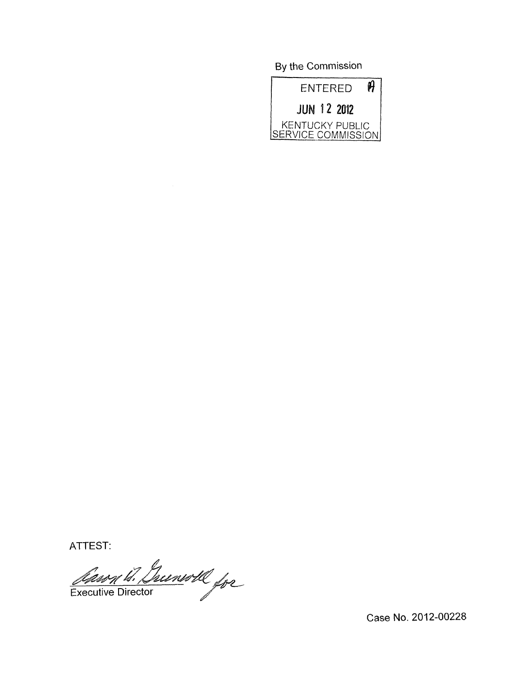By the Commission



ATTEST:

Ann 18. Greenwill for

Case No. 2012-00228